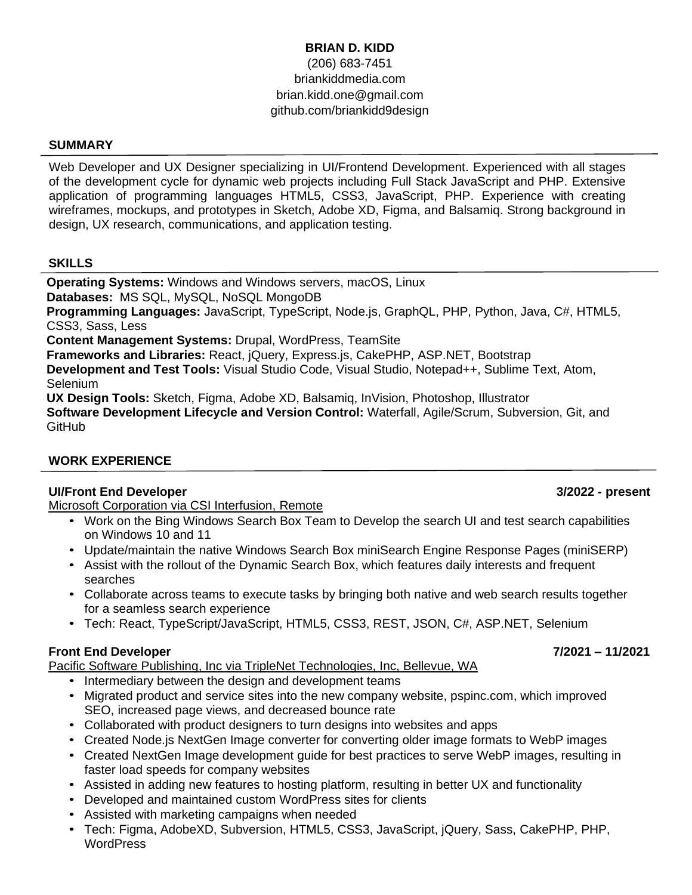# **BRIAN D. KIDD** (206) 683-7451 briankiddmedia.com brian.kidd.one@gmail.com github.com/briankidd9design

### **SUMMARY**

Web Developer and UX Designer specializing in UI/Frontend Development. Experienced with all stages of the development cycle for dynamic web projects including Full Stack JavaScript and PHP. Extensive application of programming languages HTML5, CSS3, JavaScript, PHP. Experience with creating wireframes, mockups, and prototypes in Sketch, Adobe XD, Figma, and Balsamiq. Strong background in design, UX research, communications, and application testing.

### **SKILLS**

**Operating Systems:** Windows and Windows servers, macOS, Linux **Databases:** MS SQL, MySQL, NoSQL MongoDB **Programming Languages:** JavaScript, TypeScript, Node.js, GraphQL, PHP, Python, Java, C#, HTML5, CSS3, Sass, Less **Content Management Systems:** Drupal, WordPress, TeamSite **Frameworks and Libraries:** React, jQuery, Express.js, CakePHP, ASP.NET, Bootstrap **Development and Test Tools:** Visual Studio Code, Visual Studio, Notepad++, Sublime Text, Atom, Selenium **UX Design Tools:** Sketch, Figma, Adobe XD, Balsamiq, InVision, Photoshop, Illustrator **Software Development Lifecycle and Version Control:** Waterfall, Agile/Scrum, Subversion, Git, and **GitHub** 

### **WORK EXPERIENCE**

### **UI/Front End Developer 3/2022 - present**

Microsoft Corporation via CSI Interfusion, Remote

- Work on the Bing Windows Search Box Team to Develop the search UI and test search capabilities on Windows 10 and 11
- Update/maintain the native Windows Search Box miniSearch Engine Response Pages (miniSERP)
- Assist with the rollout of the Dynamic Search Box, which features daily interests and frequent searches
- Collaborate across teams to execute tasks by bringing both native and web search results together for a seamless search experience
- Tech: React, TypeScript/JavaScript, HTML5, CSS3, REST, JSON, C#, ASP.NET, Selenium

### **Front End Developer Front-end Developer 7/2021 – 11/2021**

Pacific Software Publishing, Inc via TripleNet Technologies, Inc, Bellevue, WA

- Intermediary between the design and development teams
- Migrated product and service sites into the new company website, pspinc.com, which improved SEO, increased page views, and decreased bounce rate
- Collaborated with product designers to turn designs into websites and apps
- Created Node.js NextGen Image converter for converting older image formats to WebP images
- Created NextGen Image development guide for best practices to serve WebP images, resulting in faster load speeds for company websites
- Assisted in adding new features to hosting platform, resulting in better UX and functionality
- Developed and maintained custom WordPress sites for clients
- Assisted with marketing campaigns when needed
- Tech: Figma, AdobeXD, Subversion, HTML5, CSS3, JavaScript, jQuery, Sass, CakePHP, PHP, **WordPress**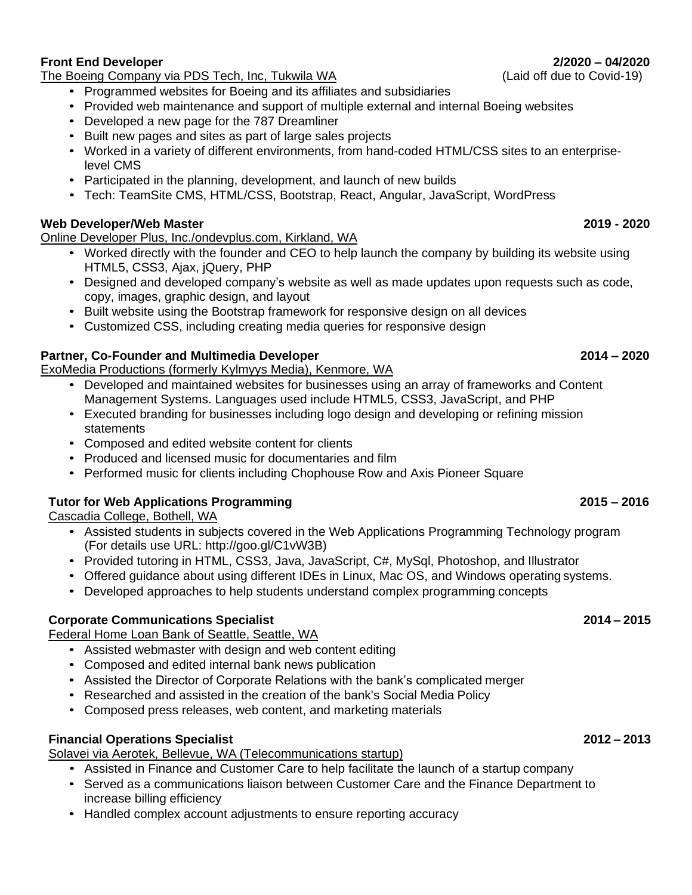# **Front End Developer Front-end Developer 2/2020 – 04/2020**

The Boeing Company via PDS Tech, Inc, Tukwila WA(Laid off due to Covid-19)

- Programmed websites for Boeing and its affiliates and subsidiaries
- Provided web maintenance and support of multiple external and internal Boeing websites
- Developed a new page for the 787 Dreamliner
- Built new pages and sites as part of large sales projects
- Worked in a variety of different environments, from hand-coded HTML/CSS sites to an enterpriselevel CMS
- Participated in the planning, development, and launch of new builds
- Tech: TeamSite CMS, HTML/CSS, Bootstrap, React, Angular, JavaScript, WordPress

# **Web Developer/Web Master 2019 - 2020**

Online Developer Plus, Inc./ondevplus.com, Kirkland, WA

- Worked directly with the founder and CEO to help launch the company by building its website using HTML5, CSS3, Ajax, jQuery, PHP
- Designed and developed company's website as well as made updates upon requests such as code, copy, images, graphic design, and layout
- Built website using the Bootstrap framework for responsive design on all devices
- Customized CSS, including creating media queries for responsive design

# **Partner, Co-Founder and Multimedia Developer 2014 – 2020**

ExoMedia Productions (formerly Kylmyys Media), Kenmore, WA

- Developed and maintained websites for businesses using an array of frameworks and Content Management Systems. Languages used include HTML5, CSS3, JavaScript, and PHP
- Executed branding for businesses including logo design and developing or refining mission **statements**
- Composed and edited website content for clients
- Produced and licensed music for documentaries and film
- Performed music for clients including Chophouse Row and Axis Pioneer Square

### **Tutor for Web Applications Programming 2015 – 2016**

Cascadia College, Bothell, WA

- Assisted students in subjects covered in the Web Applications Programming Technology program (For details use URL: [http://goo.gl/C1vW3B\)](http://goo.gl/C1vW3B))
- Provided tutoring in HTML, CSS3, Java, JavaScript, C#, MySql, Photoshop, and Illustrator
- Offered guidance about using different IDEs in Linux, Mac OS, and Windows operating systems.
- Developed approaches to help students understand complex programming concepts

### **Corporate Communications Specialist 2014 – 2015**

Federal Home Loan Bank of Seattle, Seattle, WA

- Assisted webmaster with design and web content editing
- Composed and edited internal bank news publication
- Assisted the Director of Corporate Relations with the bank's complicated merger
- Researched and assisted in the creation of the bank's Social Media Policy
- Composed press releases, web content, and marketing materials

## **Financial Operations Specialist 2012 – 2013**

Solavei via Aerotek, Bellevue, WA (Telecommunications startup)

- Assisted in Finance and Customer Care to help facilitate the launch of a startup company
- Served as a communications liaison between Customer Care and the Finance Department to increase billing efficiency
- Handled complex account adjustments to ensure reporting accuracy